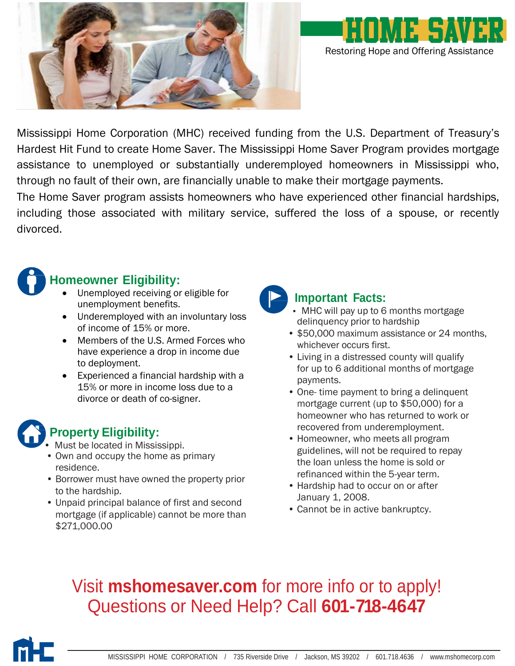



Mississippi Home Corporation (MHC) received funding from the U.S. Department of Treasury's Hardest Hit Fund to create Home Saver. The Mississippi Home Saver Program provides mortgage assistance to unemployed or substantially underemployed homeowners in Mississippi who, through no fault of their own, are financially unable to make their mortgage payments.

The Home Saver program assists homeowners who have experienced other financial hardships, including those associated with military service, suffered the loss of a spouse, or recently divorced.



- Unemployed receiving or eligible for unemployment benefits.
- Underemployed with an involuntary loss of income of 15% or more.
- Members of the U.S. Armed Forces who have experience a drop in income due to deployment.
- Experienced a financial hardship with a 15% or more in income loss due to a divorce or death of co-signer.

## **Property Eligibility:**

- Must be located in Mississippi.
- Own and occupy the home as primary residence.
- Borrower must have owned the property prior to the hardship.
- Unpaid principal balance of first and second mortgage (if applicable) cannot be more than \$271,000.00



### **Important Facts:**

- MHC will pay up to 6 months mortgage delinquency prior to hardship
- \$50,000 maximum assistance or 24 months, whichever occurs first.
- Living in a distressed county will qualify for up to 6 additional months of mortgage payments.
- One- time payment to bring a delinquent mortgage current (up to \$50,000) for a homeowner who has returned to work or recovered from underemployment.
- Homeowner, who meets all program guidelines, will not be required to repay the loan unless the home is sold or refinanced within the 5-year term.
- Hardship had to occur on or after January 1, 2008.
- Cannot be in active bankruptcy.

# Visit **mshomesaver.com** for more info or to apply! Questions or Need Help? Call **601-718-4647**